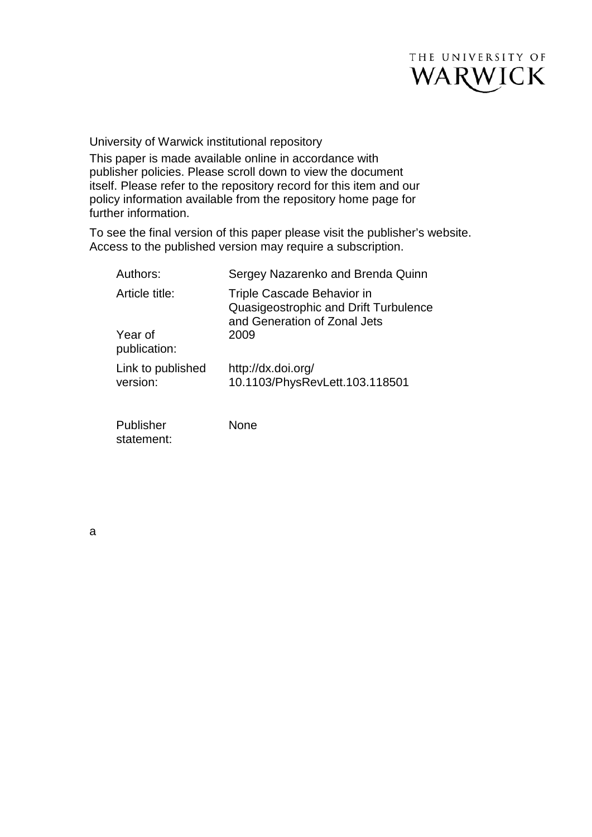# THE UNIVERSITY OF WARWICK

University of Warwick institutional repository

This paper is made available online in accordance with publisher policies. Please scroll down to view the document itself. Please refer to the repository record for this item and our policy information available from the repository home page for further information.

To see the final version of this paper please visit the publisher's website. Access to the published version may require a subscription.

| Authors:                      | Sergey Nazarenko and Brenda Quinn                                                                   |
|-------------------------------|-----------------------------------------------------------------------------------------------------|
| Article title:                | Triple Cascade Behavior in<br>Quasigeostrophic and Drift Turbulence<br>and Generation of Zonal Jets |
| Year of<br>publication:       | 2009                                                                                                |
| Link to published<br>version: | http://dx.doi.org/<br>10.1103/PhysRevLett.103.118501                                                |

None

Publisher statement: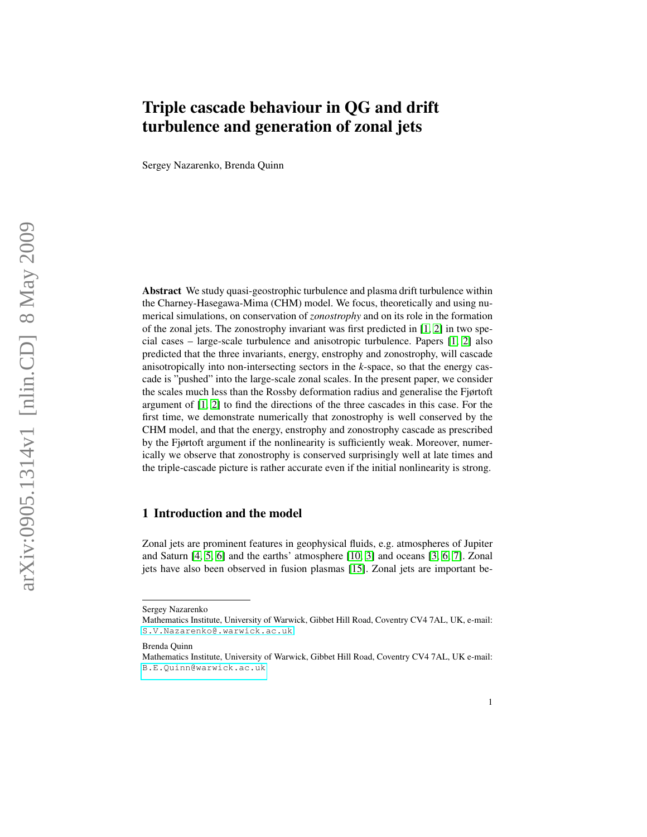# Triple cascade behaviour in QG and drift turbulence and generation of zonal jets

Sergey Nazarenko, Brenda Quinn

Abstract We study quasi-geostrophic turbulence and plasma drift turbulence within the Charney-Hasegawa-Mima (CHM) model. We focus, theoretically and using numerical simulations, on conservation of *zonostrophy* and on its role in the formation of the zonal jets. The zonostrophy invariant was first predicted in  $[1, 2]$  $[1, 2]$  in two special cases – large-scale turbulence and anisotropic turbulence. Papers [\[1,](#page-20-0) [2\]](#page-20-1) also predicted that the three invariants, energy, enstrophy and zonostrophy, will cascade anisotropically into non-intersecting sectors in the *k*-space, so that the energy cascade is "pushed" into the large-scale zonal scales. In the present paper, we consider the scales much less than the Rossby deformation radius and generalise the Fjørtoft argument of [\[1,](#page-20-0) [2\]](#page-20-1) to find the directions of the three cascades in this case. For the first time, we demonstrate numerically that zonostrophy is well conserved by the CHM model, and that the energy, enstrophy and zonostrophy cascade as prescribed by the Fjørtoft argument if the nonlinearity is sufficiently weak. Moreover, numerically we observe that zonostrophy is conserved surprisingly well at late times and the triple-cascade picture is rather accurate even if the initial nonlinearity is strong.

#### 1 Introduction and the model

Zonal jets are prominent features in geophysical fluids, e.g. atmospheres of Jupiter and Saturn [\[4,](#page-20-2) [5,](#page-20-3) [6\]](#page-20-4) and the earths' atmosphere [\[10,](#page-20-5) [3\]](#page-20-6) and oceans [\[3,](#page-20-6) [6,](#page-20-4) [7\]](#page-20-7). Zonal jets have also been observed in fusion plasmas [\[15\]](#page-20-8). Zonal jets are important be-

Sergey Nazarenko

Mathematics Institute, University of Warwick, Gibbet Hill Road, Coventry CV4 7AL, UK, e-mail: <S.V.Nazarenko@.warwick.ac.uk>

Brenda Quinn

Mathematics Institute, University of Warwick, Gibbet Hill Road, Coventry CV4 7AL, UK e-mail: <B.E.Quinn@warwick.ac.uk>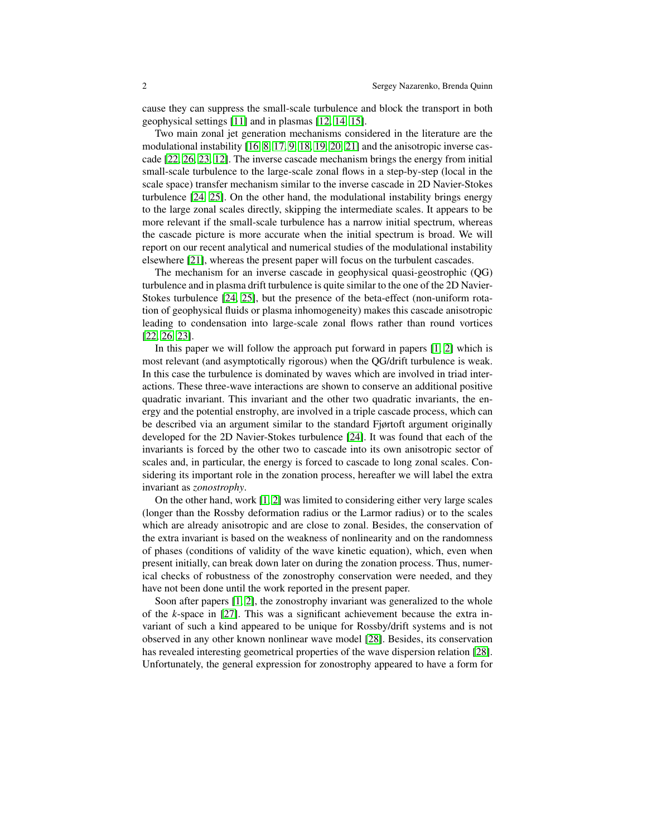cause they can suppress the small-scale turbulence and block the transport in both geophysical settings [\[11\]](#page-20-9) and in plasmas [\[12,](#page-20-10) [14,](#page-20-11) [15\]](#page-20-8).

Two main zonal jet generation mechanisms considered in the literature are the modulational instability [\[16,](#page-20-12) [8,](#page-20-13) [17,](#page-21-0) [9,](#page-20-14) [18,](#page-21-1) [19,](#page-21-2) [20,](#page-21-3) [21\]](#page-21-4) and the anisotropic inverse cascade [\[22,](#page-21-5) [26,](#page-21-6) [23,](#page-21-7) [12\]](#page-20-10). The inverse cascade mechanism brings the energy from initial small-scale turbulence to the large-scale zonal flows in a step-by-step (local in the scale space) transfer mechanism similar to the inverse cascade in 2D Navier-Stokes turbulence [\[24,](#page-21-8) [25\]](#page-21-9). On the other hand, the modulational instability brings energy to the large zonal scales directly, skipping the intermediate scales. It appears to be more relevant if the small-scale turbulence has a narrow initial spectrum, whereas the cascade picture is more accurate when the initial spectrum is broad. We will report on our recent analytical and numerical studies of the modulational instability elsewhere [\[21\]](#page-21-4), whereas the present paper will focus on the turbulent cascades.

The mechanism for an inverse cascade in geophysical quasi-geostrophic (QG) turbulence and in plasma drift turbulence is quite similar to the one of the 2D Navier-Stokes turbulence [\[24,](#page-21-8) [25\]](#page-21-9), but the presence of the beta-effect (non-uniform rotation of geophysical fluids or plasma inhomogeneity) makes this cascade anisotropic leading to condensation into large-scale zonal flows rather than round vortices [\[22,](#page-21-5) [26,](#page-21-6) [23\]](#page-21-7).

In this paper we will follow the approach put forward in papers [\[1,](#page-20-0) [2\]](#page-20-1) which is most relevant (and asymptotically rigorous) when the QG/drift turbulence is weak. In this case the turbulence is dominated by waves which are involved in triad interactions. These three-wave interactions are shown to conserve an additional positive quadratic invariant. This invariant and the other two quadratic invariants, the energy and the potential enstrophy, are involved in a triple cascade process, which can be described via an argument similar to the standard Fjørtoft argument originally developed for the 2D Navier-Stokes turbulence [\[24\]](#page-21-8). It was found that each of the invariants is forced by the other two to cascade into its own anisotropic sector of scales and, in particular, the energy is forced to cascade to long zonal scales. Considering its important role in the zonation process, hereafter we will label the extra invariant as *zonostrophy*.

On the other hand, work [\[1,](#page-20-0) [2\]](#page-20-1) was limited to considering either very large scales (longer than the Rossby deformation radius or the Larmor radius) or to the scales which are already anisotropic and are close to zonal. Besides, the conservation of the extra invariant is based on the weakness of nonlinearity and on the randomness of phases (conditions of validity of the wave kinetic equation), which, even when present initially, can break down later on during the zonation process. Thus, numerical checks of robustness of the zonostrophy conservation were needed, and they have not been done until the work reported in the present paper.

Soon after papers [\[1,](#page-20-0) [2\]](#page-20-1), the zonostrophy invariant was generalized to the whole of the *k*-space in [\[27\]](#page-21-10). This was a significant achievement because the extra invariant of such a kind appeared to be unique for Rossby/drift systems and is not observed in any other known nonlinear wave model [\[28\]](#page-21-11). Besides, its conservation has revealed interesting geometrical properties of the wave dispersion relation [\[28\]](#page-21-11). Unfortunately, the general expression for zonostrophy appeared to have a form for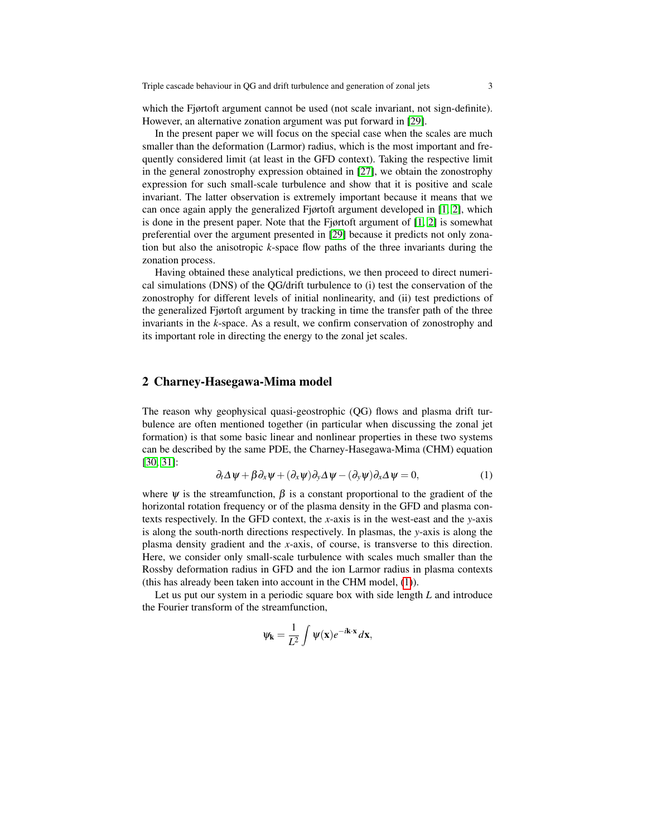which the Fjørtoft argument cannot be used (not scale invariant, not sign-definite). However, an alternative zonation argument was put forward in [\[29\]](#page-21-12).

In the present paper we will focus on the special case when the scales are much smaller than the deformation (Larmor) radius, which is the most important and frequently considered limit (at least in the GFD context). Taking the respective limit in the general zonostrophy expression obtained in [\[27\]](#page-21-10), we obtain the zonostrophy expression for such small-scale turbulence and show that it is positive and scale invariant. The latter observation is extremely important because it means that we can once again apply the generalized Fjørtoft argument developed in [\[1,](#page-20-0) [2\]](#page-20-1), which is done in the present paper. Note that the Figretoft argument of  $[1, 2]$  $[1, 2]$  is somewhat preferential over the argument presented in [\[29\]](#page-21-12) because it predicts not only zonation but also the anisotropic *k*-space flow paths of the three invariants during the zonation process.

Having obtained these analytical predictions, we then proceed to direct numerical simulations (DNS) of the QG/drift turbulence to (i) test the conservation of the zonostrophy for different levels of initial nonlinearity, and (ii) test predictions of the generalized Fjørtoft argument by tracking in time the transfer path of the three invariants in the *k*-space. As a result, we confirm conservation of zonostrophy and its important role in directing the energy to the zonal jet scales.

#### 2 Charney-Hasegawa-Mima model

The reason why geophysical quasi-geostrophic (QG) flows and plasma drift turbulence are often mentioned together (in particular when discussing the zonal jet formation) is that some basic linear and nonlinear properties in these two systems can be described by the same PDE, the Charney-Hasegawa-Mima (CHM) equation [\[30,](#page-21-13) [31\]](#page-21-14):

<span id="page-3-0"></span>
$$
\partial_t \Delta \psi + \beta \partial_x \psi + (\partial_x \psi) \partial_y \Delta \psi - (\partial_y \psi) \partial_x \Delta \psi = 0, \tag{1}
$$

where  $\psi$  is the streamfunction,  $\beta$  is a constant proportional to the gradient of the horizontal rotation frequency or of the plasma density in the GFD and plasma contexts respectively. In the GFD context, the *x*-axis is in the west-east and the *y*-axis is along the south-north directions respectively. In plasmas, the *y*-axis is along the plasma density gradient and the *x*-axis, of course, is transverse to this direction. Here, we consider only small-scale turbulence with scales much smaller than the Rossby deformation radius in GFD and the ion Larmor radius in plasma contexts (this has already been taken into account in the CHM model, [\(1\)](#page-3-0)).

Let us put our system in a periodic square box with side length *L* and introduce the Fourier transform of the streamfunction,

$$
\psi_{\mathbf{k}} = \frac{1}{L^2} \int \psi(\mathbf{x}) e^{-i\mathbf{k} \cdot \mathbf{x}} d\mathbf{x},
$$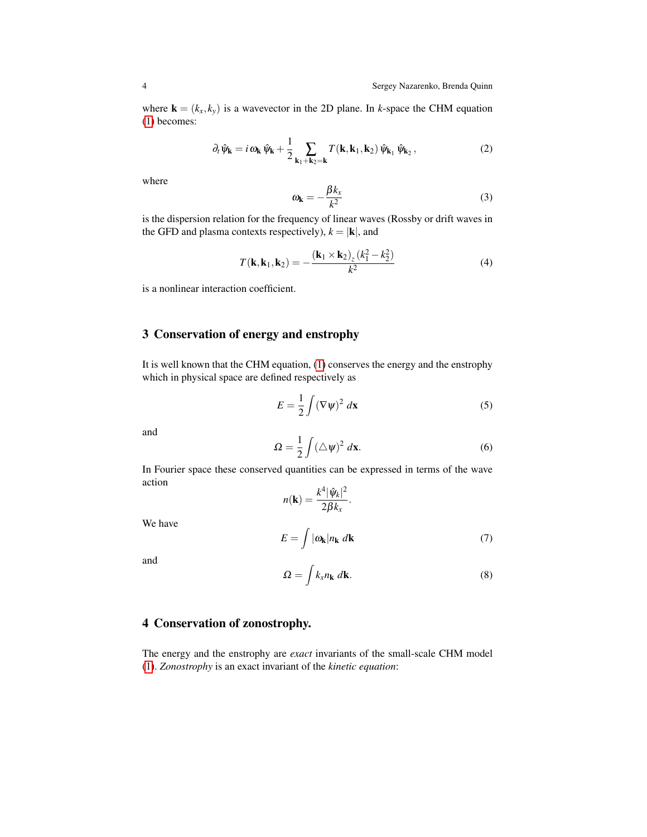where  $\mathbf{k} = (k_x, k_y)$  is a wavevector in the 2D plane. In *k*-space the CHM equation [\(1\)](#page-3-0) becomes:

<span id="page-4-4"></span>
$$
\partial_t \hat{\psi}_k = i \omega_k \hat{\psi}_k + \frac{1}{2} \sum_{k_1 + k_2 = k} T(k, k_1, k_2) \hat{\psi}_{k_1} \hat{\psi}_{k_2}, \qquad (2)
$$

where

$$
\omega_{\mathbf{k}} = -\frac{\beta k_x}{k^2} \tag{3}
$$

is the dispersion relation for the frequency of linear waves (Rossby or drift waves in the GFD and plasma contexts respectively),  $k = |\mathbf{k}|$ , and

$$
T(\mathbf{k}, \mathbf{k}_1, \mathbf{k}_2) = -\frac{(\mathbf{k}_1 \times \mathbf{k}_2)_z (k_1^2 - k_2^2)}{k^2}
$$
 (4)

is a nonlinear interaction coefficient.

# 3 Conservation of energy and enstrophy

It is well known that the CHM equation, [\(1\)](#page-3-0) conserves the energy and the enstrophy which in physical space are defined respectively as

<span id="page-4-0"></span>
$$
E = \frac{1}{2} \int (\nabla \psi)^2 \, d\mathbf{x} \tag{5}
$$

and

<span id="page-4-1"></span>
$$
\Omega = \frac{1}{2} \int (\triangle \psi)^2 \, d\mathbf{x}.\tag{6}
$$

In Fourier space these conserved quantities can be expressed in terms of the wave action

<span id="page-4-2"></span>
$$
n(\mathbf{k}) = \frac{k^4 |\hat{\mathbf{\psi}}_k|^2}{2\beta k_x}.
$$

We have

$$
E = \int |\omega_{\mathbf{k}}| n_{\mathbf{k}} \, d\mathbf{k} \tag{7}
$$

and

<span id="page-4-3"></span>
$$
\Omega = \int k_x n_{\mathbf{k}} \, d\mathbf{k}.\tag{8}
$$

# 4 Conservation of zonostrophy.

The energy and the enstrophy are *exact* invariants of the small-scale CHM model [\(1\)](#page-3-0). *Zonostrophy* is an exact invariant of the *kinetic equation*: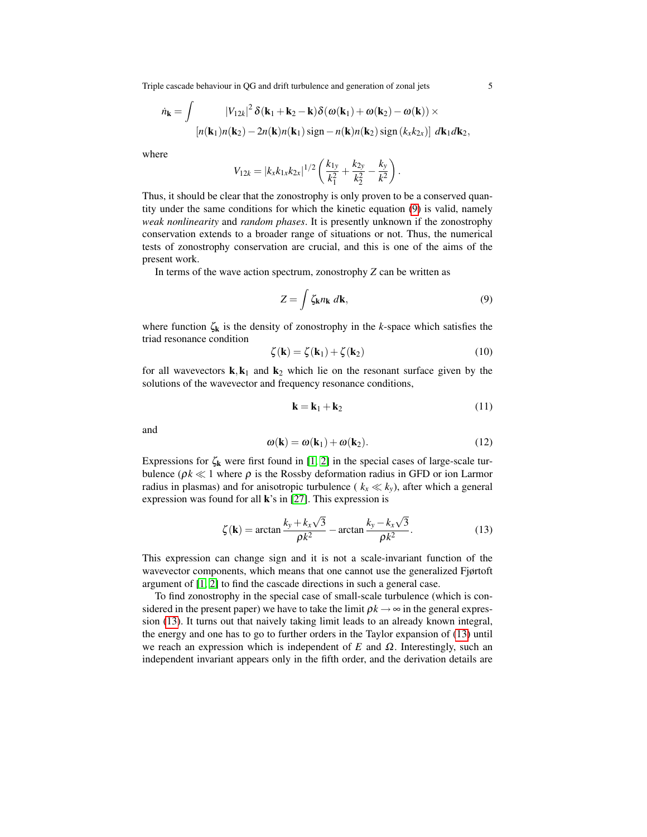Triple cascade behaviour in QG and drift turbulence and generation of zonal jets 5

<span id="page-5-0"></span>
$$
\dot{n}_{\mathbf{k}} = \int \frac{|V_{12k}|^2 \delta(\mathbf{k}_1 + \mathbf{k}_2 - \mathbf{k}) \delta(\omega(\mathbf{k}_1) + \omega(\mathbf{k}_2) - \omega(\mathbf{k})) \times}{[n(\mathbf{k}_1)n(\mathbf{k}_2) - 2n(\mathbf{k})n(\mathbf{k}_1) \operatorname{sign} - n(\mathbf{k})n(\mathbf{k}_2) \operatorname{sign}(k_x k_{2x})] d\mathbf{k}_1 d\mathbf{k}_2},
$$

where

$$
V_{12k} = |k_x k_{1x} k_{2x}|^{1/2} \left( \frac{k_{1y}}{k_1^2} + \frac{k_{2y}}{k_2^2} - \frac{k_y}{k^2} \right).
$$

Thus, it should be clear that the zonostrophy is only proven to be a conserved quantity under the same conditions for which the kinetic equation [\(9\)](#page-5-0) is valid, namely *weak nonlinearity* and *random phases*. It is presently unknown if the zonostrophy conservation extends to a broader range of situations or not. Thus, the numerical tests of zonostrophy conservation are crucial, and this is one of the aims of the present work.

In terms of the wave action spectrum, zonostrophy *Z* can be written as

$$
Z = \int \zeta_{\mathbf{k}} n_{\mathbf{k}} \, d\mathbf{k},\tag{9}
$$

where function  $\zeta_k$  is the density of zonostrophy in the *k*-space which satisfies the triad resonance condition

$$
\zeta(\mathbf{k}) = \zeta(\mathbf{k}_1) + \zeta(\mathbf{k}_2) \tag{10}
$$

for all wavevectors  $\mathbf{k}, \mathbf{k}_1$  and  $\mathbf{k}_2$  which lie on the resonant surface given by the solutions of the wavevector and frequency resonance conditions,

$$
\mathbf{k} = \mathbf{k}_1 + \mathbf{k}_2 \tag{11}
$$

and

$$
\omega(\mathbf{k}) = \omega(\mathbf{k}_1) + \omega(\mathbf{k}_2). \tag{12}
$$

Expressions for  $\zeta_k$  were first found in [\[1,](#page-20-0) [2\]](#page-20-1) in the special cases of large-scale turbulence ( $\rho k \ll 1$  where  $\rho$  is the Rossby deformation radius in GFD or ion Larmor radius in plasmas) and for anisotropic turbulence ( $k_x \ll k_y$ ), after which a general expression was found for all k's in [\[27\]](#page-21-10). This expression is

<span id="page-5-1"></span>
$$
\zeta(\mathbf{k}) = \arctan \frac{k_y + k_x \sqrt{3}}{\rho k^2} - \arctan \frac{k_y - k_x \sqrt{3}}{\rho k^2}.
$$
 (13)

This expression can change sign and it is not a scale-invariant function of the wavevector components, which means that one cannot use the generalized Fjørtoft argument of [\[1,](#page-20-0) [2\]](#page-20-1) to find the cascade directions in such a general case.

To find zonostrophy in the special case of small-scale turbulence (which is considered in the present paper) we have to take the limit  $\rho k \rightarrow \infty$  in the general expression [\(13\)](#page-5-1). It turns out that naively taking limit leads to an already known integral, the energy and one has to go to further orders in the Taylor expansion of [\(13\)](#page-5-1) until we reach an expression which is independent of  $E$  and  $\Omega$ . Interestingly, such an independent invariant appears only in the fifth order, and the derivation details are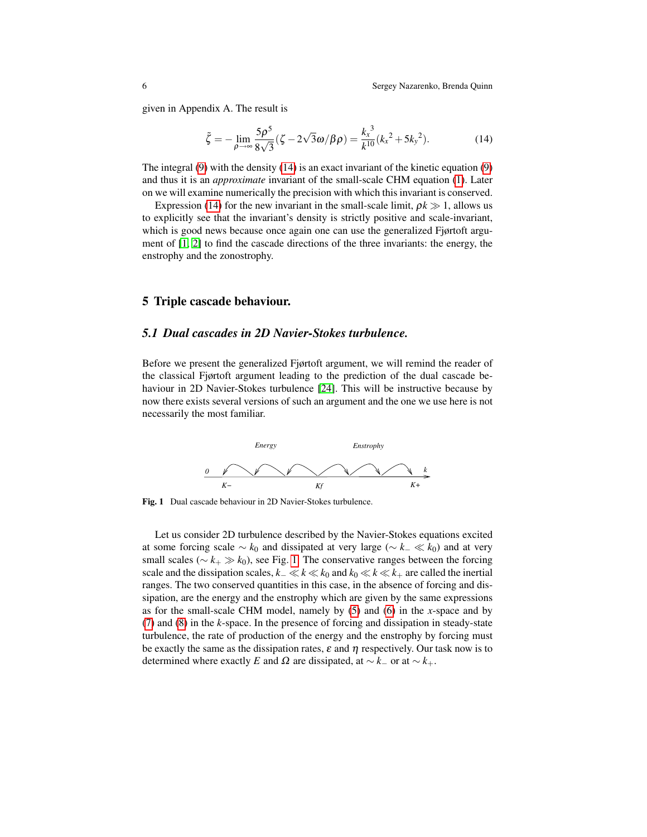given in Appendix A. The result is

<span id="page-6-0"></span>
$$
\tilde{\zeta} = -\lim_{\rho \to \infty} \frac{5\rho^5}{8\sqrt{3}} (\zeta - 2\sqrt{3}\omega/\beta \rho) = \frac{k_x^3}{k^{10}} (k_x^2 + 5k_y^2).
$$
 (14)

The integral [\(9\)](#page-5-0) with the density [\(14\)](#page-6-0) is an exact invariant of the kinetic equation [\(9\)](#page-5-0) and thus it is an *approximate* invariant of the small-scale CHM equation [\(1\)](#page-3-0). Later on we will examine numerically the precision with which this invariant is conserved.

Expression [\(14\)](#page-6-0) for the new invariant in the small-scale limit,  $\rho k \gg 1$ , allows us to explicitly see that the invariant's density is strictly positive and scale-invariant, which is good news because once again one can use the generalized Fjørtoft argument of [\[1,](#page-20-0) [2\]](#page-20-1) to find the cascade directions of the three invariants: the energy, the enstrophy and the zonostrophy.

#### 5 Triple cascade behaviour.

# *5.1 Dual cascades in 2D Navier-Stokes turbulence.*

Before we present the generalized Fjørtoft argument, we will remind the reader of the classical Fjørtoft argument leading to the prediction of the dual cascade behaviour in 2D Navier-Stokes turbulence [\[24\]](#page-21-8). This will be instructive because by now there exists several versions of such an argument and the one we use here is not necessarily the most familiar.



<span id="page-6-1"></span>Fig. 1 Dual cascade behaviour in 2D Navier-Stokes turbulence.

Let us consider 2D turbulence described by the Navier-Stokes equations excited at some forcing scale  $\sim k_0$  and dissipated at very large ( $\sim k_-\ll k_0$ ) and at very small scales ( $\sim k_+ \gg k_0$ ), see Fig. [1.](#page-6-1) The conservative ranges between the forcing scale and the dissipation scales,  $k_-\ll k\ll k_0$  and  $k_0\ll k\ll k_+$  are called the inertial ranges. The two conserved quantities in this case, in the absence of forcing and dissipation, are the energy and the enstrophy which are given by the same expressions as for the small-scale CHM model, namely by [\(5\)](#page-4-0) and [\(6\)](#page-4-1) in the *x*-space and by [\(7\)](#page-4-2) and [\(8\)](#page-4-3) in the *k*-space. In the presence of forcing and dissipation in steady-state turbulence, the rate of production of the energy and the enstrophy by forcing must be exactly the same as the dissipation rates,  $\varepsilon$  and  $\eta$  respectively. Our task now is to determined where exactly *E* and Ω are dissipated, at ∼ *k*<sup>−</sup> or at ∼ *k*+.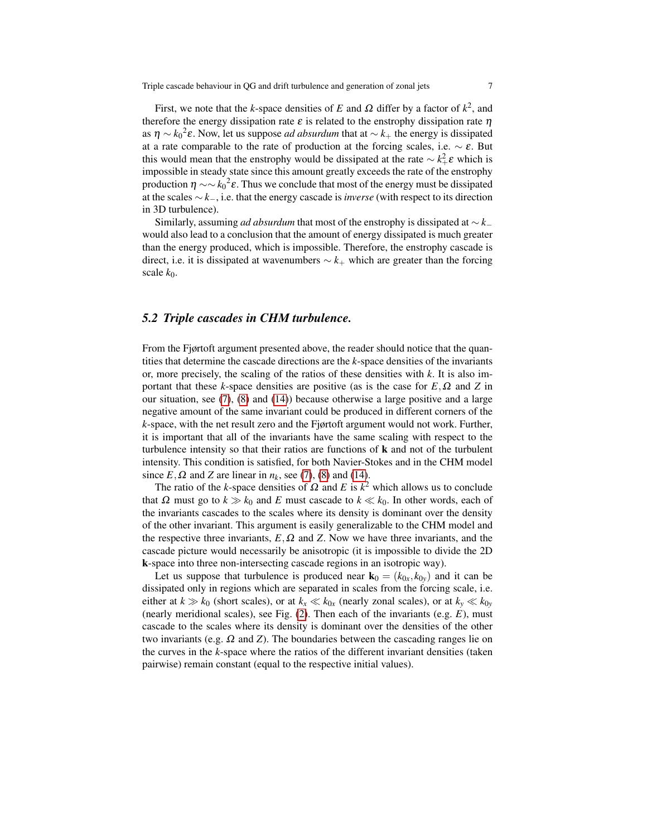Triple cascade behaviour in QG and drift turbulence and generation of zonal jets 7

First, we note that the *k*-space densities of *E* and  $\Omega$  differ by a factor of  $k^2$ , and therefore the energy dissipation rate  $\varepsilon$  is related to the enstrophy dissipation rate  $\eta$ as η ∼ *k*<sup>0</sup> 2 ε. Now, let us suppose *ad absurdum* that at ∼ *k*<sup>+</sup> the energy is dissipated at a rate comparable to the rate of production at the forcing scales, i.e.  $\sim \varepsilon$ . But this would mean that the enstrophy would be dissipated at the rate  $\sim k_+^2 \varepsilon$  which is impossible in steady state since this amount greatly exceeds the rate of the enstrophy production  $η \sim \sim k_0^2 ε$ . Thus we conclude that most of the energy must be dissipated at the scales ∼ *k*−, i.e. that the energy cascade is *inverse* (with respect to its direction in 3D turbulence).

Similarly, assuming *ad absurdum* that most of the enstrophy is dissipated at ∼ *k*<sup>−</sup> would also lead to a conclusion that the amount of energy dissipated is much greater than the energy produced, which is impossible. Therefore, the enstrophy cascade is direct, i.e. it is dissipated at wavenumbers  $\sim k_{+}$  which are greater than the forcing scale  $k_0$ .

#### *5.2 Triple cascades in CHM turbulence.*

From the Fjørtoft argument presented above, the reader should notice that the quantities that determine the cascade directions are the *k*-space densities of the invariants or, more precisely, the scaling of the ratios of these densities with *k*. It is also important that these *k*-space densities are positive (as is the case for  $E, \Omega$  and Z in our situation, see  $(7)$ ,  $(8)$  and  $(14)$ ) because otherwise a large positive and a large negative amount of the same invariant could be produced in different corners of the *k*-space, with the net result zero and the Fjørtoft argument would not work. Further, it is important that all of the invariants have the same scaling with respect to the turbulence intensity so that their ratios are functions of  $k$  and not of the turbulent intensity. This condition is satisfied, for both Navier-Stokes and in the CHM model since  $E, \Omega$  and  $Z$  are linear in  $n_k$ , see [\(7\)](#page-4-2), [\(8\)](#page-4-3) and [\(14\)](#page-6-0).

The ratio of the *k*-space densities of  $\Omega$  and *E* is  $k^2$  which allows us to conclude that Ω must go to  $k \gg k_0$  and *E* must cascade to  $k \ll k_0$ . In other words, each of the invariants cascades to the scales where its density is dominant over the density of the other invariant. This argument is easily generalizable to the CHM model and the respective three invariants,  $E, \Omega$  and  $Z$ . Now we have three invariants, and the cascade picture would necessarily be anisotropic (it is impossible to divide the 2D k-space into three non-intersecting cascade regions in an isotropic way).

Let us suppose that turbulence is produced near  $\mathbf{k}_0 = (k_{0x}, k_{0y})$  and it can be dissipated only in regions which are separated in scales from the forcing scale, i.e. either at  $k \gg k_0$  (short scales), or at  $k_x \ll k_{0x}$  (nearly zonal scales), or at  $k_y \ll k_{0y}$ (nearly meridional scales), see Fig. [\(2\)](#page-9-0). Then each of the invariants (e.g. *E*), must cascade to the scales where its density is dominant over the densities of the other two invariants (e.g. Ω and *Z*). The boundaries between the cascading ranges lie on the curves in the *k*-space where the ratios of the different invariant densities (taken pairwise) remain constant (equal to the respective initial values).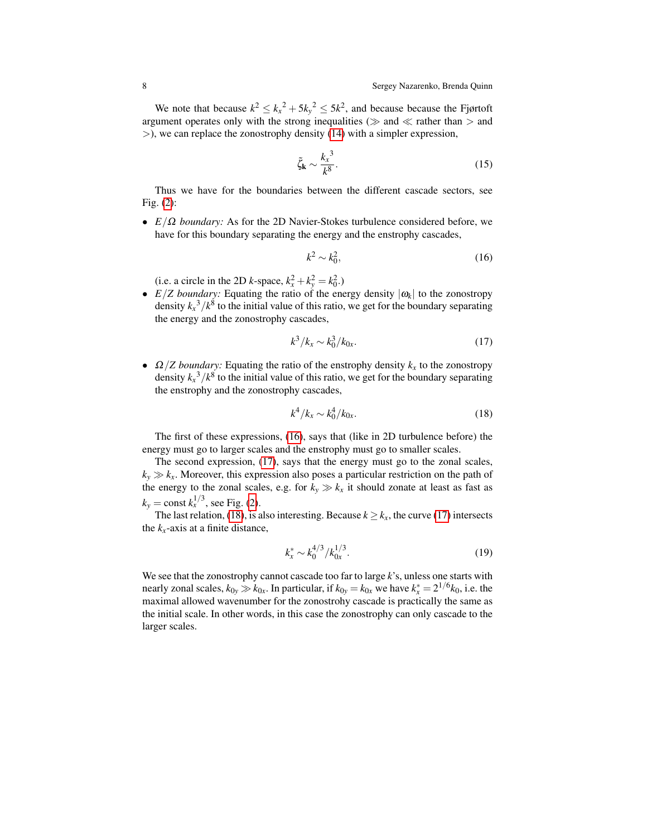We note that because  $k^2 \leq k_x^2 + 5k_y^2 \leq 5k^2$ , and because because the Fjørtoft argument operates only with the strong inequalities ( $\gg$  and  $\ll$  rather than  $>$  and  $>$ ), we can replace the zonostrophy density [\(14\)](#page-6-0) with a simpler expression,

$$
\tilde{\zeta}_{\mathbf{k}} \sim \frac{k_x^3}{k^8}.\tag{15}
$$

Thus we have for the boundaries between the different cascade sectors, see Fig. [\(2\)](#page-9-0):

• *E*/Ω *boundary:* As for the 2D Navier-Stokes turbulence considered before, we have for this boundary separating the energy and the enstrophy cascades,

<span id="page-8-0"></span>
$$
k^2 \sim k_0^2,\tag{16}
$$

(i.e. a circle in the 2D *k*-space,  $k_x^2 + k_y^2 = k_0^2$ .)

•  $E/Z$  *boundary:* Equating the ratio of the energy density  $|\omega_k|$  to the zonostropy density  $k_x^3/k^8$  to the initial value of this ratio, we get for the boundary separating the energy and the zonostrophy cascades,

<span id="page-8-1"></span>
$$
k^3 / k_x \sim k_0^3 / k_{0x}.\tag{17}
$$

•  $\Omega/Z$  *boundary:* Equating the ratio of the enstrophy density  $k_x$  to the zonostropy density  $k_x^3/k^8$  to the initial value of this ratio, we get for the boundary separating the enstrophy and the zonostrophy cascades,

<span id="page-8-2"></span>
$$
k^4/k_x \sim k_0^4/k_{0x}.\tag{18}
$$

The first of these expressions, [\(16\)](#page-8-0), says that (like in 2D turbulence before) the energy must go to larger scales and the enstrophy must go to smaller scales.

The second expression, [\(17\)](#page-8-1), says that the energy must go to the zonal scales,  $k_y \gg k_x$ . Moreover, this expression also poses a particular restriction on the path of the energy to the zonal scales, e.g. for  $k_y \gg k_x$  it should zonate at least as fast as  $k_y = \text{const } k_x^{1/3}$ , see Fig. [\(2\)](#page-9-0).

The last relation, [\(18\)](#page-8-2), is also interesting. Because  $k \ge k_x$ , the curve [\(17\)](#page-8-1) intersects the  $k_x$ -axis at a finite distance,

$$
k_x^* \sim k_0^{4/3} / k_{0x}^{1/3}.
$$
 (19)

We see that the zonostrophy cannot cascade too far to large *k*'s, unless one starts with nearly zonal scales,  $k_{0y} \gg k_{0x}$ . In particular, if  $k_{0y} = k_{0x}$  we have  $k_x^* = 2^{1/6} k_0$ , i.e. the maximal allowed wavenumber for the zonostrohy cascade is practically the same as the initial scale. In other words, in this case the zonostrophy can only cascade to the larger scales.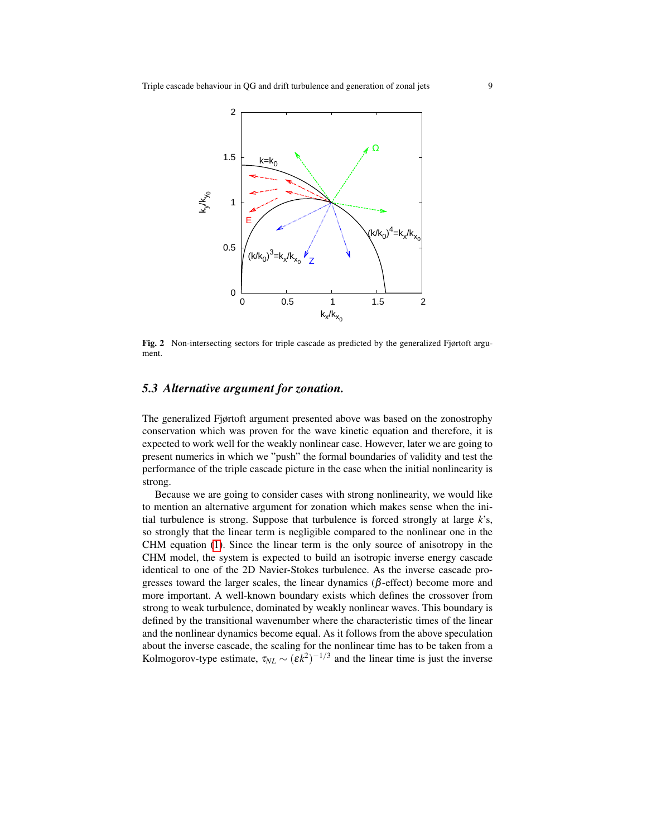

<span id="page-9-0"></span>Fig. 2 Non-intersecting sectors for triple cascade as predicted by the generalized Fjørtoft argument.

#### *5.3 Alternative argument for zonation.*

The generalized Fjørtoft argument presented above was based on the zonostrophy conservation which was proven for the wave kinetic equation and therefore, it is expected to work well for the weakly nonlinear case. However, later we are going to present numerics in which we "push" the formal boundaries of validity and test the performance of the triple cascade picture in the case when the initial nonlinearity is strong.

Because we are going to consider cases with strong nonlinearity, we would like to mention an alternative argument for zonation which makes sense when the initial turbulence is strong. Suppose that turbulence is forced strongly at large *k*'s, so strongly that the linear term is negligible compared to the nonlinear one in the CHM equation [\(1\)](#page-3-0). Since the linear term is the only source of anisotropy in the CHM model, the system is expected to build an isotropic inverse energy cascade identical to one of the 2D Navier-Stokes turbulence. As the inverse cascade progresses toward the larger scales, the linear dynamics  $(\beta$ -effect) become more and more important. A well-known boundary exists which defines the crossover from strong to weak turbulence, dominated by weakly nonlinear waves. This boundary is defined by the transitional wavenumber where the characteristic times of the linear and the nonlinear dynamics become equal. As it follows from the above speculation about the inverse cascade, the scaling for the nonlinear time has to be taken from a Kolmogorov-type estimate,  $\tau_{NL} \sim (\varepsilon k^2)^{-1/3}$  and the linear time is just the inverse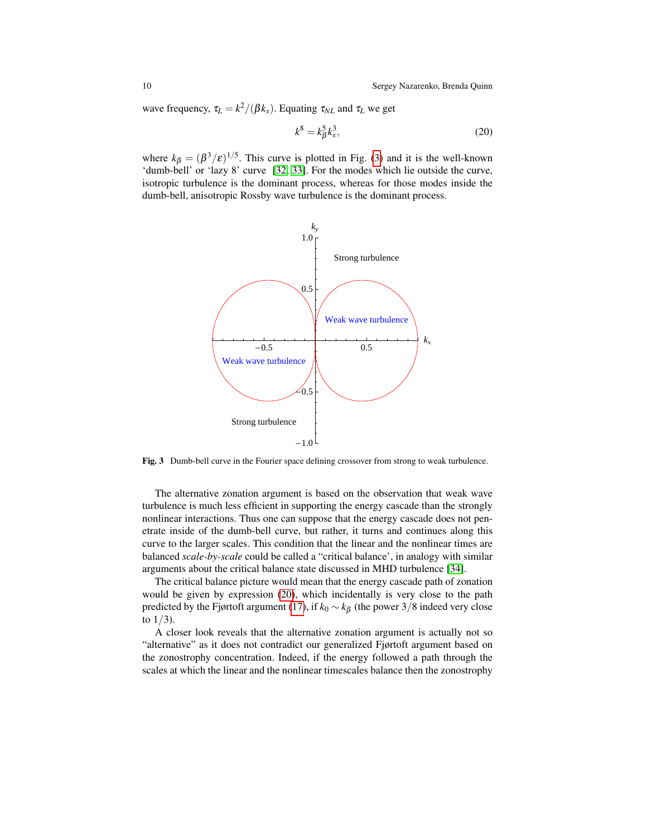wave frequency,  $\tau_L = k^2/(\beta k_x)$ . Equating  $\tau_{NL}$  and  $\tau_L$  we get

<span id="page-10-1"></span>
$$
k^8 = k_\beta^5 k_x^3,
$$
 (20)

where  $k_{\beta} = (\beta^3/\varepsilon)^{1/5}$ . This curve is plotted in Fig. [\(3\)](#page-10-0) and it is the well-known 'dumb-bell' or 'lazy 8' curve [\[32,](#page-21-15) [33\]](#page-21-16). For the modes which lie outside the curve, isotropic turbulence is the dominant process, whereas for those modes inside the dumb-bell, anisotropic Rossby wave turbulence is the dominant process.



<span id="page-10-0"></span>Fig. 3 Dumb-bell curve in the Fourier space defining crossover from strong to weak turbulence.

The alternative zonation argument is based on the observation that weak wave turbulence is much less efficient in supporting the energy cascade than the strongly nonlinear interactions. Thus one can suppose that the energy cascade does not penetrate inside of the dumb-bell curve, but rather, it turns and continues along this curve to the larger scales. This condition that the linear and the nonlinear times are balanced *scale-by-scale* could be called a "critical balance', in analogy with similar arguments about the critical balance state discussed in MHD turbulence [\[34\]](#page-21-17).

The critical balance picture would mean that the energy cascade path of zonation would be given by expression [\(20\)](#page-10-1), which incidentally is very close to the path predicted by the Fjørtoft argument [\(17\)](#page-8-1), if  $k_0 \sim k_\beta$  (the power 3/8 indeed very close to  $1/3$ ).

A closer look reveals that the alternative zonation argument is actually not so "alternative" as it does not contradict our generalized Fjørtoft argument based on the zonostrophy concentration. Indeed, if the energy followed a path through the scales at which the linear and the nonlinear timescales balance then the zonostrophy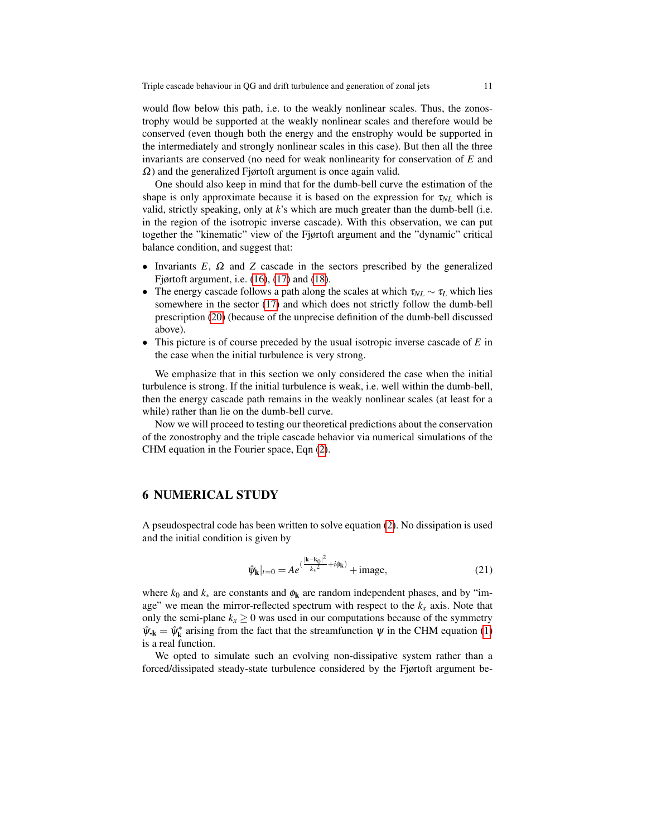would flow below this path, i.e. to the weakly nonlinear scales. Thus, the zonostrophy would be supported at the weakly nonlinear scales and therefore would be conserved (even though both the energy and the enstrophy would be supported in the intermediately and strongly nonlinear scales in this case). But then all the three invariants are conserved (no need for weak nonlinearity for conservation of *E* and Ω) and the generalized Fjørtoft argument is once again valid.

One should also keep in mind that for the dumb-bell curve the estimation of the shape is only approximate because it is based on the expression for  $\tau_{NL}$  which is valid, strictly speaking, only at *k*'s which are much greater than the dumb-bell (i.e. in the region of the isotropic inverse cascade). With this observation, we can put together the "kinematic" view of the Fjørtoft argument and the "dynamic" critical balance condition, and suggest that:

- Invariants *E*, Ω and *Z* cascade in the sectors prescribed by the generalized Fjørtoft argument, i.e. [\(16\)](#page-8-0), [\(17\)](#page-8-1) and [\(18\)](#page-8-2).
- The energy cascade follows a path along the scales at which  $\tau_{NL} \sim \tau_L$  which lies somewhere in the sector [\(17\)](#page-8-1) and which does not strictly follow the dumb-bell prescription [\(20\)](#page-10-1) (because of the unprecise definition of the dumb-bell discussed above).
- This picture is of course preceded by the usual isotropic inverse cascade of *E* in the case when the initial turbulence is very strong.

We emphasize that in this section we only considered the case when the initial turbulence is strong. If the initial turbulence is weak, i.e. well within the dumb-bell, then the energy cascade path remains in the weakly nonlinear scales (at least for a while) rather than lie on the dumb-bell curve.

Now we will proceed to testing our theoretical predictions about the conservation of the zonostrophy and the triple cascade behavior via numerical simulations of the CHM equation in the Fourier space, Eqn [\(2\)](#page-4-4).

## 6 NUMERICAL STUDY

A pseudospectral code has been written to solve equation [\(2\)](#page-4-4). No dissipation is used and the initial condition is given by

$$
\hat{\psi}_{\mathbf{k}}|_{t=0} = Ae^{(\frac{|\mathbf{k}-\mathbf{k}_0|^2}{k_*^2} + i\phi_{\mathbf{k}})} + \text{image},\tag{21}
$$

where  $k_0$  and  $k_*$  are constants and  $\phi_k$  are random independent phases, and by "image" we mean the mirror-reflected spectrum with respect to the  $k_x$  axis. Note that only the semi-plane  $k_x \geq 0$  was used in our computations because of the symmetry  $\hat{\psi}_{\textbf{k}} = \hat{\psi}_{\textbf{k}}^*$  arising from the fact that the streamfunction  $\psi$  in the CHM equation [\(1\)](#page-3-0) is a real function.

We opted to simulate such an evolving non-dissipative system rather than a forced/dissipated steady-state turbulence considered by the Fjørtoft argument be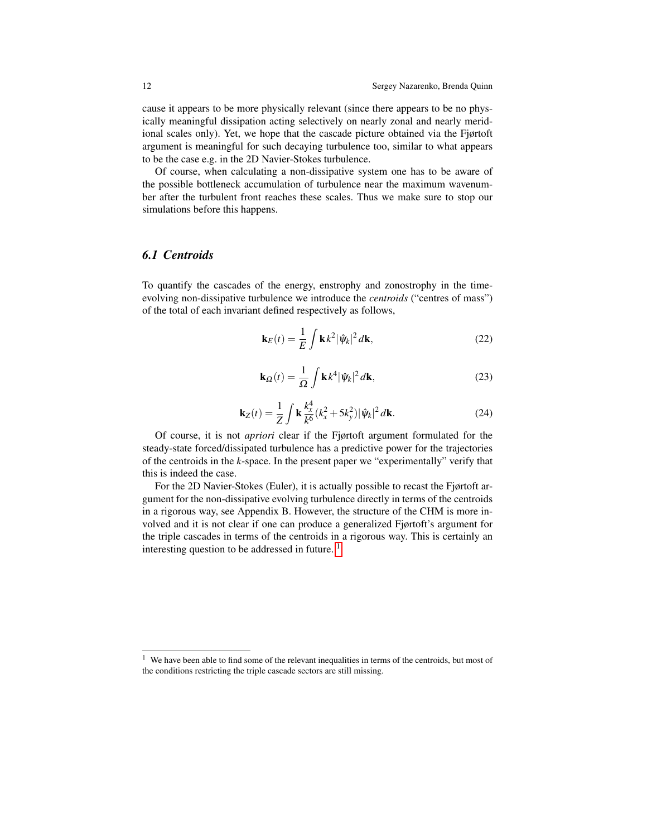cause it appears to be more physically relevant (since there appears to be no physically meaningful dissipation acting selectively on nearly zonal and nearly meridional scales only). Yet, we hope that the cascade picture obtained via the Fjørtoft argument is meaningful for such decaying turbulence too, similar to what appears to be the case e.g. in the 2D Navier-Stokes turbulence.

Of course, when calculating a non-dissipative system one has to be aware of the possible bottleneck accumulation of turbulence near the maximum wavenumber after the turbulent front reaches these scales. Thus we make sure to stop our simulations before this happens.

# *6.1 Centroids*

To quantify the cascades of the energy, enstrophy and zonostrophy in the timeevolving non-dissipative turbulence we introduce the *centroids* ("centres of mass") of the total of each invariant defined respectively as follows,

<span id="page-12-1"></span>
$$
\mathbf{k}_E(t) = \frac{1}{E} \int \mathbf{k} k^2 |\hat{\mathbf{\Psi}}_k|^2 d\mathbf{k},
$$
 (22)

<span id="page-12-2"></span>
$$
\mathbf{k}_{\Omega}(t) = \frac{1}{\Omega} \int \mathbf{k} k^4 |\hat{\mathbf{\psi}}_k|^2 d\mathbf{k},\tag{23}
$$

<span id="page-12-3"></span>
$$
\mathbf{k}_{Z}(t) = \frac{1}{Z} \int \mathbf{k} \frac{k_{x}^{4}}{k^{6}} (k_{x}^{2} + 5k_{y}^{2}) |\hat{\mathbf{\psi}}_{k}|^{2} d\mathbf{k}.
$$
 (24)

Of course, it is not *apriori* clear if the Fjørtoft argument formulated for the steady-state forced/dissipated turbulence has a predictive power for the trajectories of the centroids in the *k*-space. In the present paper we "experimentally" verify that this is indeed the case.

For the 2D Navier-Stokes (Euler), it is actually possible to recast the Fjørtoft argument for the non-dissipative evolving turbulence directly in terms of the centroids in a rigorous way, see Appendix B. However, the structure of the CHM is more involved and it is not clear if one can produce a generalized Fjørtoft's argument for the triple cascades in terms of the centroids in a rigorous way. This is certainly an interesting question to be addressed in future.  $<sup>1</sup>$  $<sup>1</sup>$  $<sup>1</sup>$ </sup>

<span id="page-12-0"></span><sup>&</sup>lt;sup>1</sup> We have been able to find some of the relevant inequalities in terms of the centroids, but most of the conditions restricting the triple cascade sectors are still missing.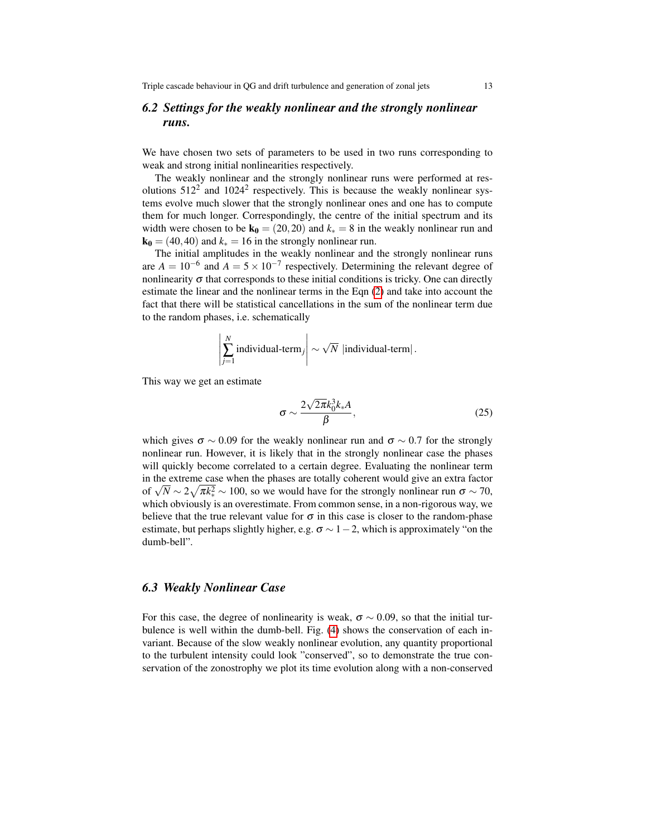# *6.2 Settings for the weakly nonlinear and the strongly nonlinear runs.*

We have chosen two sets of parameters to be used in two runs corresponding to weak and strong initial nonlinearities respectively.

The weakly nonlinear and the strongly nonlinear runs were performed at resolutions  $512^2$  and  $1024^2$  respectively. This is because the weakly nonlinear systems evolve much slower that the strongly nonlinear ones and one has to compute them for much longer. Correspondingly, the centre of the initial spectrum and its width were chosen to be  $\mathbf{k}_0 = (20, 20)$  and  $k_* = 8$  in the weakly nonlinear run and  $\mathbf{k_0} = (40, 40)$  and  $k_* = 16$  in the strongly nonlinear run.

The initial amplitudes in the weakly nonlinear and the strongly nonlinear runs are  $A = 10^{-6}$  and  $A = 5 \times 10^{-7}$  respectively. Determining the relevant degree of nonlinearity  $\sigma$  that corresponds to these initial conditions is tricky. One can directly estimate the linear and the nonlinear terms in the Eqn [\(2\)](#page-4-4) and take into account the fact that there will be statistical cancellations in the sum of the nonlinear term due to the random phases, i.e. schematically

$$
\left|\sum_{j=1}^N \text{individual-term}_j\right| \sim \sqrt{N} \text{ |individual-term |}.
$$

This way we get an estimate

$$
\sigma \sim \frac{2\sqrt{2\pi}k_0^3k_*A}{\beta},\qquad(25)
$$

which gives  $\sigma \sim 0.09$  for the weakly nonlinear run and  $\sigma \sim 0.7$  for the strongly nonlinear run. However, it is likely that in the strongly nonlinear case the phases will quickly become correlated to a certain degree. Evaluating the nonlinear term in the extreme case when the phases are totally coherent would give an extra factor In the extreme case when the phases are totally conerent would give an extra factor of  $\sqrt{N}$  ∼ 2 $\sqrt{\pi k_*^2}$  ∼ 100, so we would have for the strongly nonlinear run σ ∼ 70, which obviously is an overestimate. From common sense, in a non-rigorous way, we believe that the true relevant value for  $\sigma$  in this case is closer to the random-phase estimate, but perhaps slightly higher, e.g.  $\sigma \sim 1-2$ , which is approximately "on the dumb-bell".

#### *6.3 Weakly Nonlinear Case*

For this case, the degree of nonlinearity is weak,  $\sigma \sim 0.09$ , so that the initial turbulence is well within the dumb-bell. Fig. [\(4\)](#page-14-0) shows the conservation of each invariant. Because of the slow weakly nonlinear evolution, any quantity proportional to the turbulent intensity could look "conserved", so to demonstrate the true conservation of the zonostrophy we plot its time evolution along with a non-conserved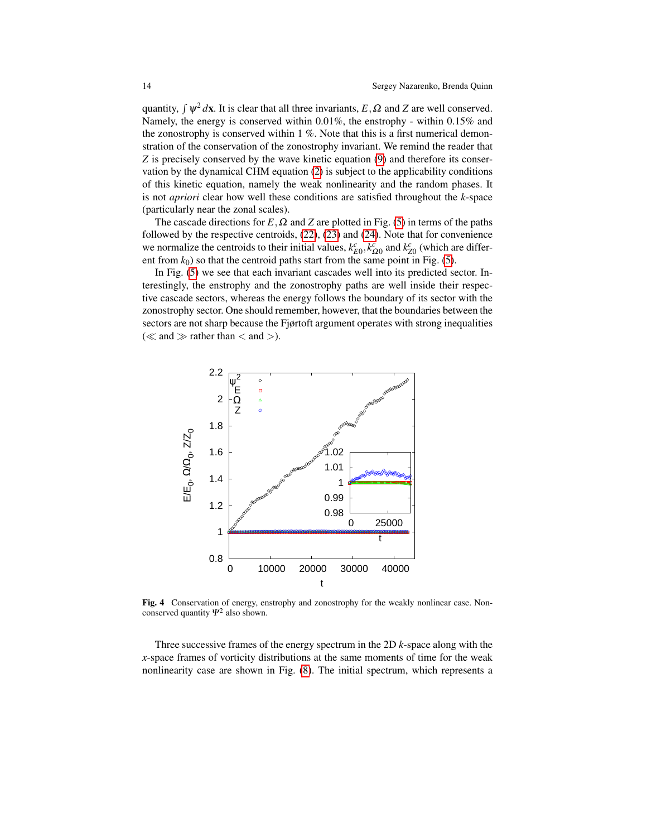quantity,  $\int \psi^2 d\mathbf{x}$ . It is clear that all three invariants,  $E, \Omega$  and *Z* are well conserved. Namely, the energy is conserved within 0.01%, the enstrophy - within 0.15% and the zonostrophy is conserved within 1 %. Note that this is a first numerical demonstration of the conservation of the zonostrophy invariant. We remind the reader that *Z* is precisely conserved by the wave kinetic equation [\(9\)](#page-5-0) and therefore its conservation by the dynamical CHM equation [\(2\)](#page-4-4) is subject to the applicability conditions of this kinetic equation, namely the weak nonlinearity and the random phases. It is not *apriori* clear how well these conditions are satisfied throughout the *k*-space (particularly near the zonal scales).

The cascade directions for  $E, \Omega$  and  $Z$  are plotted in Fig. [\(5\)](#page-15-0) in terms of the paths followed by the respective centroids, [\(22\)](#page-12-1), [\(23\)](#page-12-2) and [\(24\)](#page-12-3). Note that for convenience we normalize the centroids to their initial values,  $k_{E0}^c$ ,  $k_{\Omega 0}^c$  and  $k_{Z0}^c$  (which are different from  $k_0$ ) so that the centroid paths start from the same point in Fig. [\(5\)](#page-15-0).

In Fig.  $(5)$  we see that each invariant cascades well into its predicted sector. Interestingly, the enstrophy and the zonostrophy paths are well inside their respective cascade sectors, whereas the energy follows the boundary of its sector with the zonostrophy sector. One should remember, however, that the boundaries between the sectors are not sharp because the Fjørtoft argument operates with strong inequalities  $(\ll$  and  $\gg$  rather than  $\lt$  and  $\gt$ ).



<span id="page-14-0"></span>Fig. 4 Conservation of energy, enstrophy and zonostrophy for the weakly nonlinear case. Nonconserved quantity  $\Psi^2$  also shown.

Three successive frames of the energy spectrum in the 2D *k*-space along with the *x*-space frames of vorticity distributions at the same moments of time for the weak nonlinearity case are shown in Fig. [\(8\)](#page-18-0). The initial spectrum, which represents a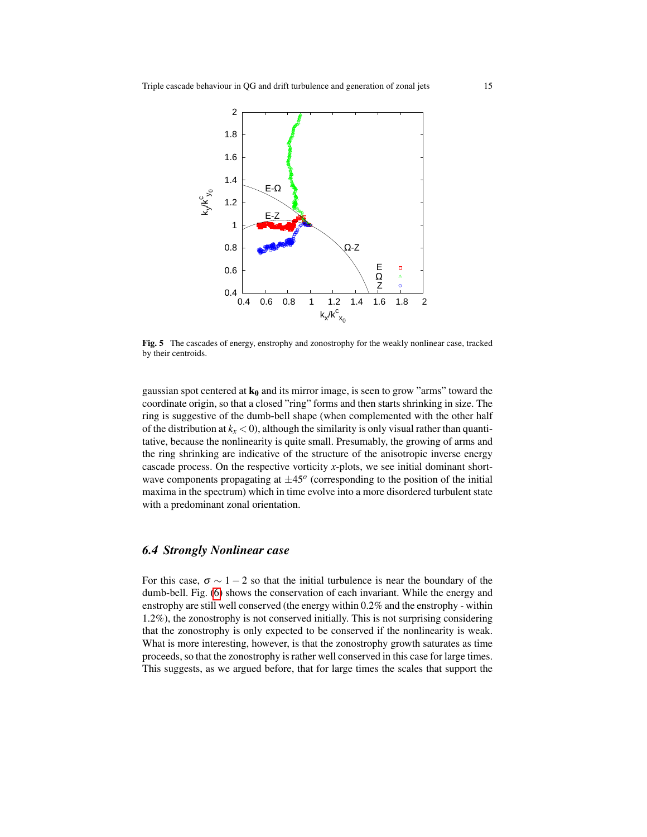

<span id="page-15-0"></span>Fig. 5 The cascades of energy, enstrophy and zonostrophy for the weakly nonlinear case, tracked by their centroids.

gaussian spot centered at  $k_0$  and its mirror image, is seen to grow "arms" toward the coordinate origin, so that a closed "ring" forms and then starts shrinking in size. The ring is suggestive of the dumb-bell shape (when complemented with the other half of the distribution at  $k_x < 0$ , although the similarity is only visual rather than quantitative, because the nonlinearity is quite small. Presumably, the growing of arms and the ring shrinking are indicative of the structure of the anisotropic inverse energy cascade process. On the respective vorticity *x*-plots, we see initial dominant shortwave components propagating at  $\pm 45^{\circ}$  (corresponding to the position of the initial maxima in the spectrum) which in time evolve into a more disordered turbulent state with a predominant zonal orientation.

## *6.4 Strongly Nonlinear case*

For this case,  $\sigma \sim 1 - 2$  so that the initial turbulence is near the boundary of the dumb-bell. Fig. [\(6\)](#page-16-0) shows the conservation of each invariant. While the energy and enstrophy are still well conserved (the energy within 0.2% and the enstrophy - within 1.2%), the zonostrophy is not conserved initially. This is not surprising considering that the zonostrophy is only expected to be conserved if the nonlinearity is weak. What is more interesting, however, is that the zonostrophy growth saturates as time proceeds, so that the zonostrophy is rather well conserved in this case for large times. This suggests, as we argued before, that for large times the scales that support the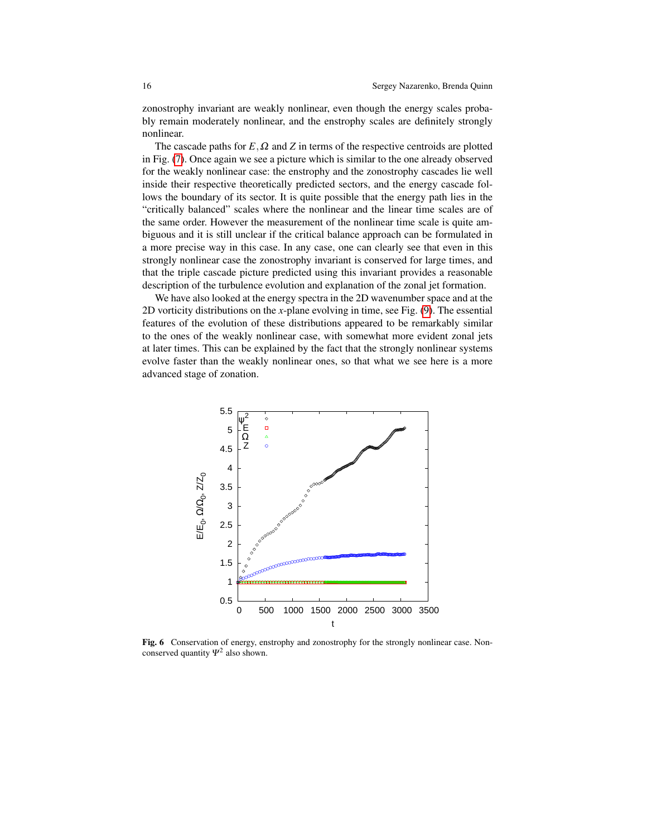zonostrophy invariant are weakly nonlinear, even though the energy scales probably remain moderately nonlinear, and the enstrophy scales are definitely strongly nonlinear.

The cascade paths for  $E, \Omega$  and  $Z$  in terms of the respective centroids are plotted in Fig. [\(7\)](#page-17-0). Once again we see a picture which is similar to the one already observed for the weakly nonlinear case: the enstrophy and the zonostrophy cascades lie well inside their respective theoretically predicted sectors, and the energy cascade follows the boundary of its sector. It is quite possible that the energy path lies in the "critically balanced" scales where the nonlinear and the linear time scales are of the same order. However the measurement of the nonlinear time scale is quite ambiguous and it is still unclear if the critical balance approach can be formulated in a more precise way in this case. In any case, one can clearly see that even in this strongly nonlinear case the zonostrophy invariant is conserved for large times, and that the triple cascade picture predicted using this invariant provides a reasonable description of the turbulence evolution and explanation of the zonal jet formation.

We have also looked at the energy spectra in the 2D wavenumber space and at the 2D vorticity distributions on the *x*-plane evolving in time, see Fig. [\(9\)](#page-19-0). The essential features of the evolution of these distributions appeared to be remarkably similar to the ones of the weakly nonlinear case, with somewhat more evident zonal jets at later times. This can be explained by the fact that the strongly nonlinear systems evolve faster than the weakly nonlinear ones, so that what we see here is a more advanced stage of zonation.



<span id="page-16-0"></span>Fig. 6 Conservation of energy, enstrophy and zonostrophy for the strongly nonlinear case. Nonconserved quantity  $\Psi^2$  also shown.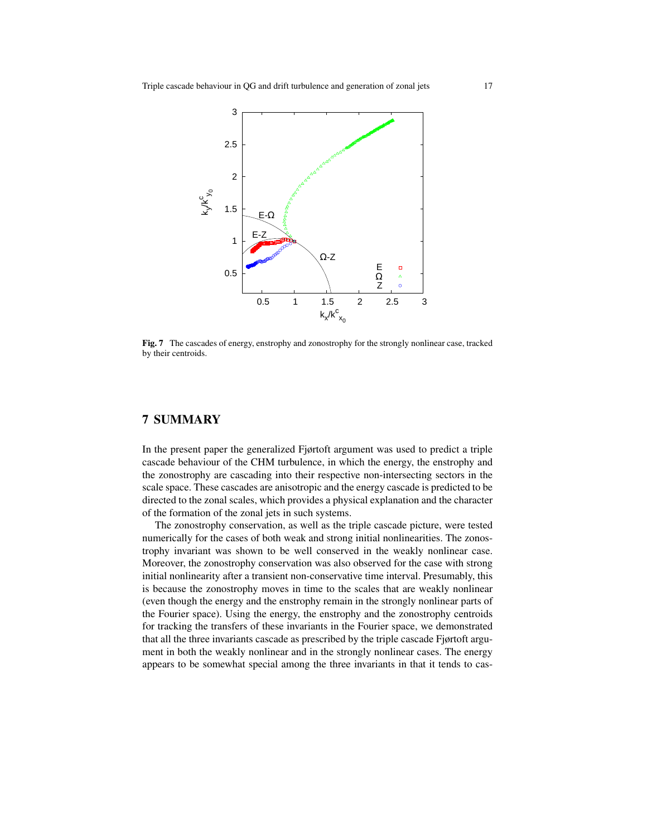

<span id="page-17-0"></span>Fig. 7 The cascades of energy, enstrophy and zonostrophy for the strongly nonlinear case, tracked by their centroids.

# 7 SUMMARY

In the present paper the generalized Fjørtoft argument was used to predict a triple cascade behaviour of the CHM turbulence, in which the energy, the enstrophy and the zonostrophy are cascading into their respective non-intersecting sectors in the scale space. These cascades are anisotropic and the energy cascade is predicted to be directed to the zonal scales, which provides a physical explanation and the character of the formation of the zonal jets in such systems.

The zonostrophy conservation, as well as the triple cascade picture, were tested numerically for the cases of both weak and strong initial nonlinearities. The zonostrophy invariant was shown to be well conserved in the weakly nonlinear case. Moreover, the zonostrophy conservation was also observed for the case with strong initial nonlinearity after a transient non-conservative time interval. Presumably, this is because the zonostrophy moves in time to the scales that are weakly nonlinear (even though the energy and the enstrophy remain in the strongly nonlinear parts of the Fourier space). Using the energy, the enstrophy and the zonostrophy centroids for tracking the transfers of these invariants in the Fourier space, we demonstrated that all the three invariants cascade as prescribed by the triple cascade Fjørtoft argument in both the weakly nonlinear and in the strongly nonlinear cases. The energy appears to be somewhat special among the three invariants in that it tends to cas-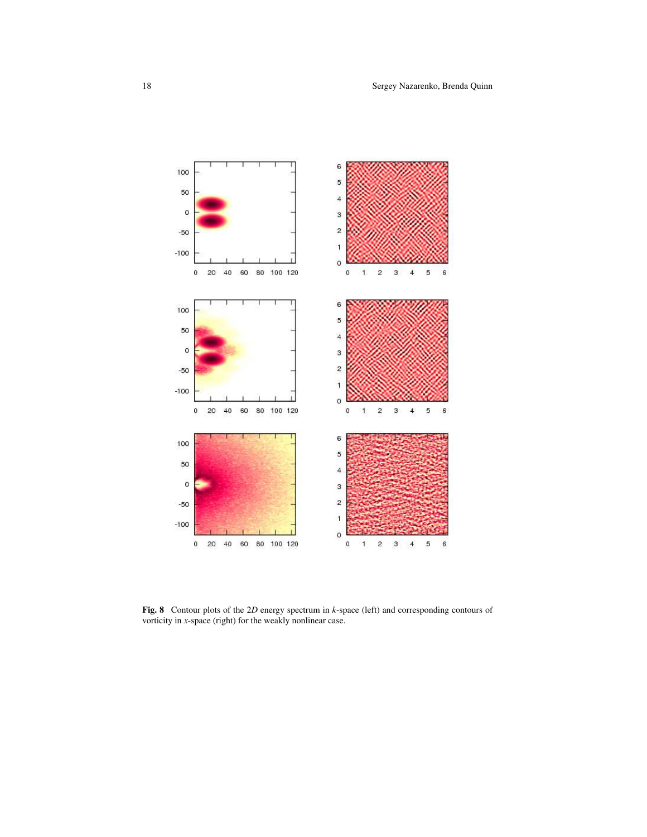

<span id="page-18-0"></span>Fig. 8 Contour plots of the 2*D* energy spectrum in *k*-space (left) and corresponding contours of vorticity in *x*-space (right) for the weakly nonlinear case.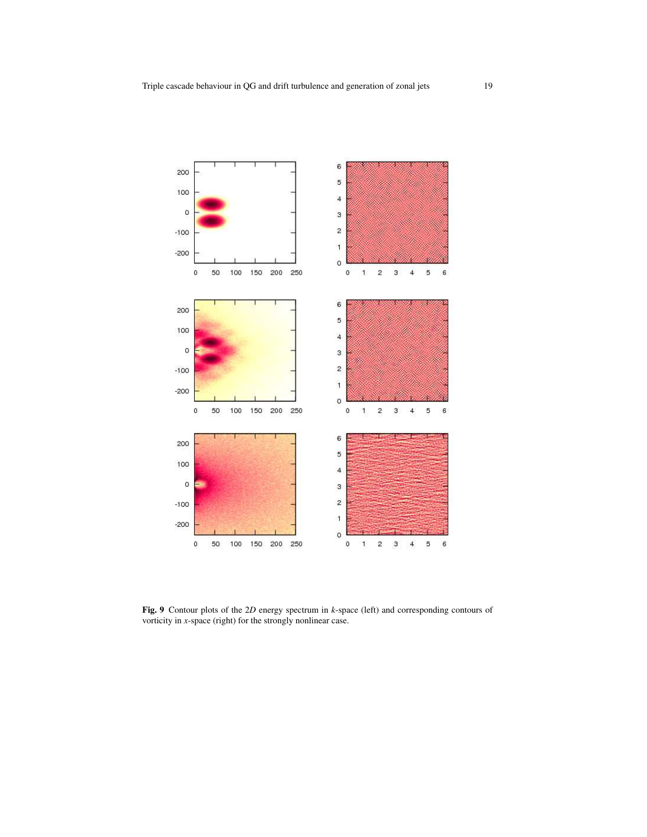

<span id="page-19-0"></span>Fig. 9 Contour plots of the 2*D* energy spectrum in *k*-space (left) and corresponding contours of vorticity in  $x$ -space (right) for the strongly nonlinear case.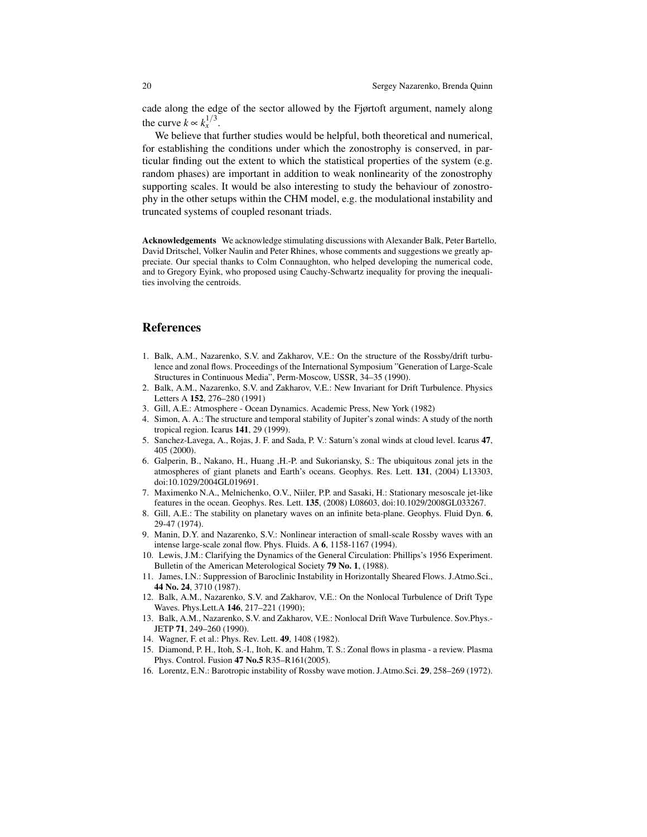cade along the edge of the sector allowed by the Fjørtoft argument, namely along the curve  $k \propto k_x^{1/3}$ .

We believe that further studies would be helpful, both theoretical and numerical, for establishing the conditions under which the zonostrophy is conserved, in particular finding out the extent to which the statistical properties of the system (e.g. random phases) are important in addition to weak nonlinearity of the zonostrophy supporting scales. It would be also interesting to study the behaviour of zonostrophy in the other setups within the CHM model, e.g. the modulational instability and truncated systems of coupled resonant triads.

Acknowledgements We acknowledge stimulating discussions with Alexander Balk, Peter Bartello, David Dritschel, Volker Naulin and Peter Rhines, whose comments and suggestions we greatly appreciate. Our special thanks to Colm Connaughton, who helped developing the numerical code, and to Gregory Eyink, who proposed using Cauchy-Schwartz inequality for proving the inequalities involving the centroids.

### References

- <span id="page-20-0"></span>1. Balk, A.M., Nazarenko, S.V. and Zakharov, V.E.: On the structure of the Rossby/drift turbulence and zonal flows. Proceedings of the International Symposium "Generation of Large-Scale Structures in Continuous Media", Perm-Moscow, USSR, 34–35 (1990).
- <span id="page-20-1"></span>2. Balk, A.M., Nazarenko, S.V. and Zakharov, V.E.: New Invariant for Drift Turbulence. Physics Letters A 152, 276–280 (1991)
- <span id="page-20-6"></span>3. Gill, A.E.: Atmosphere - Ocean Dynamics. Academic Press, New York (1982)
- <span id="page-20-2"></span>4. Simon, A. A.: The structure and temporal stability of Jupiter's zonal winds: A study of the north tropical region. Icarus 141, 29 (1999).
- <span id="page-20-3"></span>5. Sanchez-Lavega, A., Rojas, J. F. and Sada, P. V.: Saturn's zonal winds at cloud level. Icarus 47, 405 (2000).
- <span id="page-20-4"></span>6. Galperin, B., Nakano, H., Huang ,H.-P. and Sukoriansky, S.: The ubiquitous zonal jets in the atmospheres of giant planets and Earth's oceans. Geophys. Res. Lett. 131, (2004) L13303, doi:10.1029/2004GL019691.
- <span id="page-20-7"></span>7. Maximenko N.A., Melnichenko, O.V., Niiler, P.P. and Sasaki, H.: Stationary mesoscale jet-like features in the ocean. Geophys. Res. Lett. 135, (2008) L08603, doi:10.1029/2008GL033267.
- <span id="page-20-13"></span>8. Gill, A.E.: The stability on planetary waves on an infinite beta-plane. Geophys. Fluid Dyn. 6, 29-47 (1974).
- <span id="page-20-14"></span>9. Manin, D.Y. and Nazarenko, S.V.: Nonlinear interaction of small-scale Rossby waves with an intense large-scale zonal flow. Phys. Fluids. A 6, 1158-1167 (1994).
- <span id="page-20-5"></span>10. Lewis, J.M.: Clarifying the Dynamics of the General Circulation: Phillips's 1956 Experiment. Bulletin of the American Meterological Society 79 No. 1, (1988).
- <span id="page-20-9"></span>11. James, I.N.: Suppression of Baroclinic Instability in Horizontally Sheared Flows. J.Atmo.Sci., 44 No. 24, 3710 (1987).
- <span id="page-20-10"></span>12. Balk, A.M., Nazarenko, S.V. and Zakharov, V.E.: On the Nonlocal Turbulence of Drift Type Waves. Phys.Lett.A 146, 217–221 (1990);
- 13. Balk, A.M., Nazarenko, S.V. and Zakharov, V.E.: Nonlocal Drift Wave Turbulence. Sov.Phys.- JETP 71, 249–260 (1990).
- <span id="page-20-11"></span>14. Wagner, F. et al.: Phys. Rev. Lett. 49, 1408 (1982).
- <span id="page-20-8"></span>15. Diamond, P. H., Itoh, S.-I., Itoh, K. and Hahm, T. S.: Zonal flows in plasma - a review. Plasma Phys. Control. Fusion 47 No.5 R35–R161(2005).
- <span id="page-20-12"></span>16. Lorentz, E.N.: Barotropic instability of Rossby wave motion. J.Atmo.Sci. 29, 258–269 (1972).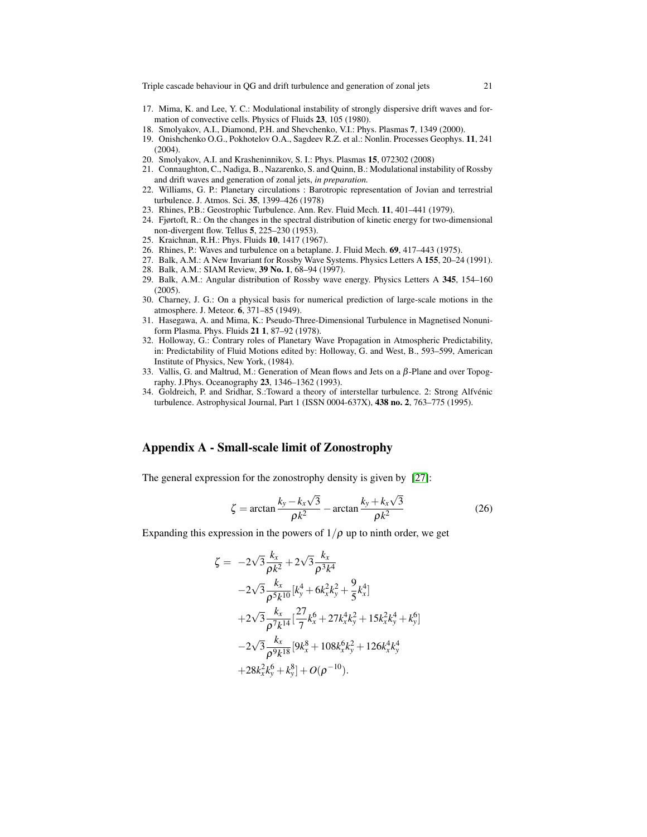- <span id="page-21-0"></span>17. Mima, K. and Lee, Y. C.: Modulational instability of strongly dispersive drift waves and formation of convective cells. Physics of Fluids 23, 105 (1980).
- <span id="page-21-1"></span>18. Smolyakov, A.I., Diamond, P.H. and Shevchenko, V.I.: Phys. Plasmas 7, 1349 (2000).
- <span id="page-21-2"></span>19. Onishchenko O.G., Pokhotelov O.A., Sagdeev R.Z. et al.: Nonlin. Processes Geophys. 11, 241 (2004).
- <span id="page-21-3"></span>20. Smolyakov, A.I. and Krasheninnikov, S. I.: Phys. Plasmas 15, 072302 (2008)
- <span id="page-21-4"></span>21. Connaughton, C., Nadiga, B., Nazarenko, S. and Quinn, B.: Modulational instability of Rossby and drift waves and generation of zonal jets, *in preparation.*
- <span id="page-21-5"></span>22. Williams, G. P.: Planetary circulations : Barotropic representation of Jovian and terrestrial turbulence. J. Atmos. Sci. 35, 1399–426 (1978)
- <span id="page-21-7"></span>23. Rhines, P.B.: Geostrophic Turbulence. Ann. Rev. Fluid Mech. 11, 401–441 (1979).
- <span id="page-21-8"></span>24. Fjørtoft, R.: On the changes in the spectral distribution of kinetic energy for two-dimensional non-divergent flow. Tellus 5, 225–230 (1953).
- <span id="page-21-9"></span>25. Kraichnan, R.H.: Phys. Fluids 10, 1417 (1967).
- <span id="page-21-6"></span>26. Rhines, P.: Waves and turbulence on a betaplane. J. Fluid Mech. 69, 417–443 (1975).
- <span id="page-21-10"></span>27. Balk, A.M.: A New Invariant for Rossby Wave Systems. Physics Letters A 155, 20–24 (1991).
- <span id="page-21-11"></span>28. Balk, A.M.: SIAM Review, 39 No. 1, 68–94 (1997).
- <span id="page-21-12"></span>29. Balk, A.M.: Angular distribution of Rossby wave energy. Physics Letters A 345, 154–160 (2005).
- <span id="page-21-13"></span>30. Charney, J. G.: On a physical basis for numerical prediction of large-scale motions in the atmosphere. J. Meteor. 6, 371–85 (1949).
- <span id="page-21-14"></span>31. Hasegawa, A. and Mima, K.: Pseudo-Three-Dimensional Turbulence in Magnetised Nonuniform Plasma. Phys. Fluids 21 1, 87–92 (1978).
- <span id="page-21-15"></span>32. Holloway, G.: Contrary roles of Planetary Wave Propagation in Atmospheric Predictability, in: Predictability of Fluid Motions edited by: Holloway, G. and West, B., 593–599, American Institute of Physics, New York, (1984).
- <span id="page-21-16"></span>33. Vallis, G. and Maltrud, M.: Generation of Mean flows and Jets on a β-Plane and over Topography. J.Phys. Oceanography 23, 1346–1362 (1993).
- <span id="page-21-17"></span>34. Goldreich, P. and Sridhar, S.:Toward a theory of interstellar turbulence. 2: Strong Alfvenic ´ turbulence. Astrophysical Journal, Part 1 (ISSN 0004-637X), 438 no. 2, 763–775 (1995).

#### Appendix A - Small-scale limit of Zonostrophy

The general expression for the zonostrophy density is given by [\[27\]](#page-21-10):

$$
\zeta = \arctan \frac{k_y - k_x \sqrt{3}}{\rho k^2} - \arctan \frac{k_y + k_x \sqrt{3}}{\rho k^2}
$$
 (26)

Expanding this expression in the powers of  $1/\rho$  up to ninth order, we get

$$
\zeta = -2\sqrt{3}\frac{k_x}{\rho k^2} + 2\sqrt{3}\frac{k_x}{\rho^3 k^4}
$$
  
\n
$$
-2\sqrt{3}\frac{k_x}{\rho^5 k^{10}}[k_y^4 + 6k_x^2 k_y^2 + \frac{9}{5}k_x^4]
$$
  
\n
$$
+2\sqrt{3}\frac{k_x}{\rho^7 k^{14}}[\frac{27}{7}k_x^6 + 27k_x^4 k_y^2 + 15k_x^2 k_y^4 + k_y^6]
$$
  
\n
$$
-2\sqrt{3}\frac{k_x}{\rho^9 k^{18}}[9k_x^8 + 108k_x^6 k_y^2 + 126k_x^4 k_y^4
$$
  
\n
$$
+28k_x^2 k_y^6 + k_y^8] + O(\rho^{-10}).
$$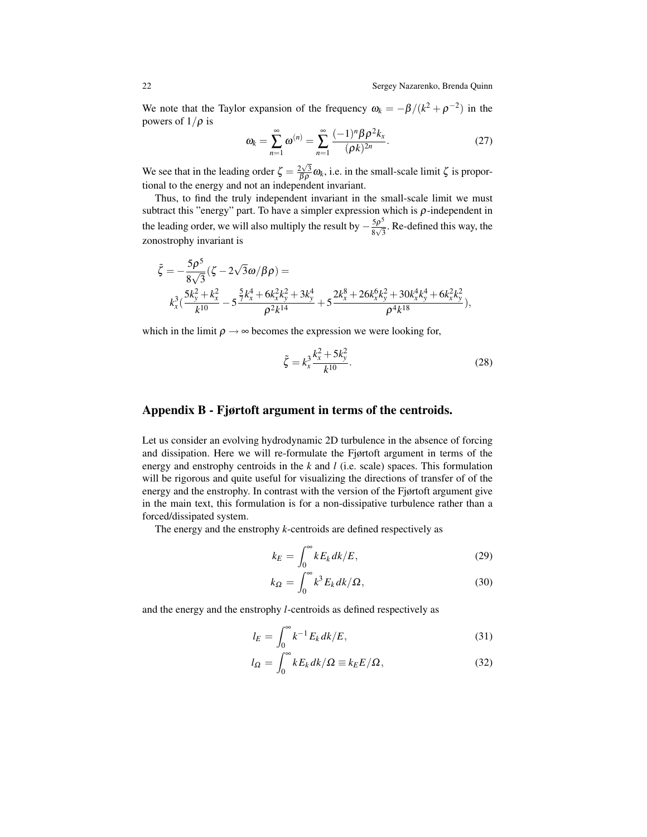We note that the Taylor expansion of the frequency  $\omega_k = -\beta/(k^2 + \rho^{-2})$  in the powers of  $1/\rho$  is

$$
\omega_k = \sum_{n=1}^{\infty} \omega^{(n)} = \sum_{n=1}^{\infty} \frac{(-1)^n \beta \rho^2 k_x}{(\rho k)^{2n}}.
$$
 (27)

We see that in the leading order  $\zeta = \frac{2\sqrt{3}}{\beta \rho} \omega_k$ , i.e. in the small-scale limit  $\zeta$  is proportional to the energy and not an independent invariant.

Thus, to find the truly independent invariant in the small-scale limit we must subtract this "energy" part. To have a simpler expression which is  $\rho$ -independent in the leading order, we will also multiply the result by  $-\frac{5\rho^5}{\sqrt{2}}$  $rac{3p^3}{8\sqrt{3}}$ . Re-defined this way, the zonostrophy invariant is

$$
\tilde{\zeta} = -\frac{5\rho^5}{8\sqrt{3}} (\zeta - 2\sqrt{3}\omega/\beta \rho) =
$$
\n
$$
k_x^3 \left( \frac{5k_y^2 + k_x^2}{k^{10}} - 5 \frac{5k_x^4 + 6k_x^2k_y^2 + 3k_y^4}{\rho^2 k^{14}} + 5 \frac{2k_x^8 + 26k_x^6k_y^2 + 30k_x^4k_y^4 + 6k_x^2k_y^2}{\rho^4 k^{18}} \right),
$$

which in the limit  $\rho \rightarrow \infty$  becomes the expression we were looking for,

$$
\tilde{\zeta} = k_x^3 \frac{k_x^2 + 5k_y^2}{k^{10}}.
$$
\n(28)

#### Appendix B - Fjørtoft argument in terms of the centroids.

Let us consider an evolving hydrodynamic 2D turbulence in the absence of forcing and dissipation. Here we will re-formulate the Fjørtoft argument in terms of the energy and enstrophy centroids in the *k* and *l* (i.e. scale) spaces. This formulation will be rigorous and quite useful for visualizing the directions of transfer of of the energy and the enstrophy. In contrast with the version of the Fjørtoft argument give in the main text, this formulation is for a non-dissipative turbulence rather than a forced/dissipated system.

The energy and the enstrophy *k*-centroids are defined respectively as

$$
k_E = \int_0^\infty k E_k \, dk / E,\tag{29}
$$

$$
k_{\Omega} = \int_0^\infty k^3 E_k dk / \Omega, \qquad (30)
$$

and the energy and the enstrophy *l*-centroids as defined respectively as

$$
l_E = \int_0^\infty k^{-1} E_k dk / E,\tag{31}
$$

$$
l_{\Omega} = \int_0^{\infty} k E_k dk / \Omega \equiv k_E E / \Omega, \qquad (32)
$$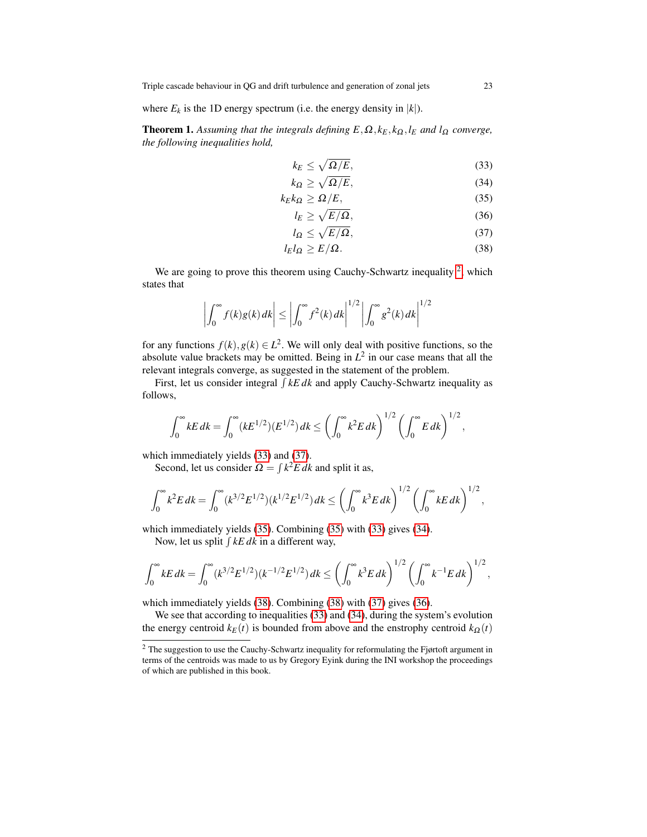Triple cascade behaviour in QG and drift turbulence and generation of zonal jets 23

where  $E_k$  is the 1D energy spectrum (i.e. the energy density in  $|k|$ ).

**Theorem 1.** Assuming that the integrals defining  $E, \Omega, k_E, k_\Omega, l_E$  and  $l_\Omega$  converge, *the following inequalities hold,*

<span id="page-23-1"></span>
$$
k_E \le \sqrt{\Omega/E},\tag{33}
$$

$$
k_{\Omega} \ge \sqrt{\Omega/E},\tag{34}
$$

$$
k_E k_\Omega \ge \Omega / E,\tag{35}
$$

$$
l_E \ge \sqrt{E/\Omega},\tag{36}
$$

$$
l_{\Omega} \le \sqrt{E/\Omega},\tag{37}
$$

$$
l_E l_\Omega \ge E/\Omega. \tag{38}
$$

We are going to prove this theorem using Cauchy-Schwartz inequality  $2$ , which states that

$$
\left| \int_0^{\infty} f(k)g(k) \, dk \right| \le \left| \int_0^{\infty} f^2(k) \, dk \right|^{1/2} \left| \int_0^{\infty} g^2(k) \, dk \right|^{1/2}
$$

for any functions  $f(k), g(k) \in L^2$ . We will only deal with positive functions, so the absolute value brackets may be omitted. Being in  $L^2$  in our case means that all the relevant integrals converge, as suggested in the statement of the problem.

First, let us consider integral  $\int kE \, dk$  and apply Cauchy-Schwartz inequality as follows,

$$
\int_0^{\infty} kE \, dk = \int_0^{\infty} (kE^{1/2})(E^{1/2}) \, dk \le \left(\int_0^{\infty} k^2 E \, dk\right)^{1/2} \left(\int_0^{\infty} E \, dk\right)^{1/2},
$$

which immediately yields [\(33\)](#page-23-1) and [\(37\)](#page-23-1).

Second, let us consider  $\Omega = \int k^2 E \, dk$  and split it as,

$$
\int_0^{\infty} k^2 E \, dk = \int_0^{\infty} (k^{3/2} E^{1/2}) (k^{1/2} E^{1/2}) \, dk \le \left( \int_0^{\infty} k^3 E \, dk \right)^{1/2} \left( \int_0^{\infty} k E \, dk \right)^{1/2},
$$

which immediately yields [\(35\)](#page-23-1). Combining [\(35\)](#page-23-1) with [\(33\)](#page-23-1) gives [\(34\)](#page-23-1).

Now, let us split  $\int kE \, dk$  in a different way,

$$
\int_0^\infty kE\,dk = \int_0^\infty (k^{3/2} E^{1/2})(k^{-1/2} E^{1/2})\,dk \le \left(\int_0^\infty k^3 E\,dk\right)^{1/2} \left(\int_0^\infty k^{-1} E\,dk\right)^{1/2},
$$

which immediately yields [\(38\)](#page-23-1). Combining [\(38\)](#page-23-1) with [\(37\)](#page-23-1) gives [\(36\)](#page-23-1).

We see that according to inequalities [\(33\)](#page-23-1) and [\(34\)](#page-23-1), during the system's evolution the energy centroid  $k_E(t)$  is bounded from above and the enstrophy centroid  $k_{\Omega}(t)$ 

<span id="page-23-0"></span><sup>&</sup>lt;sup>2</sup> The suggestion to use the Cauchy-Schwartz inequality for reformulating the Fjørtoft argument in terms of the centroids was made to us by Gregory Eyink during the INI workshop the proceedings of which are published in this book.